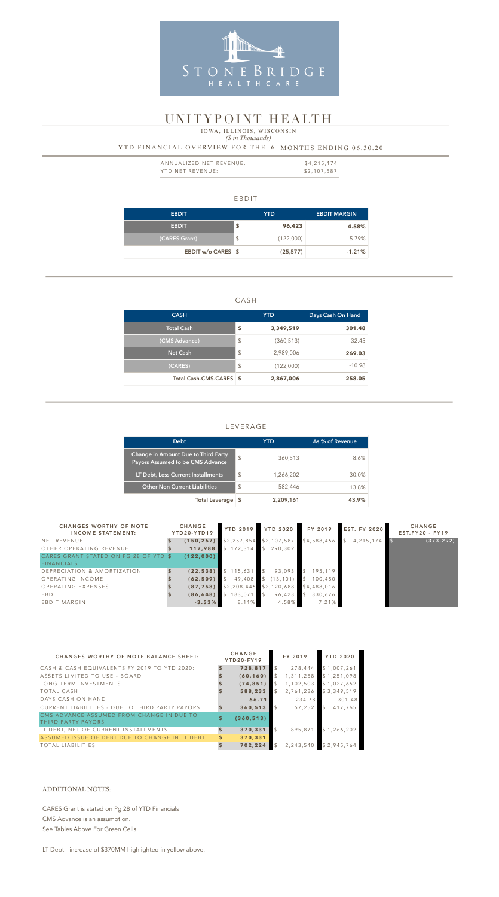#### EBDIT

| <b>EBDIT</b>              | YTD.                    |           | <b>EBDIT MARGIN</b> |  |
|---------------------------|-------------------------|-----------|---------------------|--|
| <b>EBDIT</b>              | \$                      | 96,423    | 4.58%               |  |
| (CARES Grant)             | $\sqrt[6]{\frac{1}{2}}$ | (122,000) | -5.79%              |  |
| <b>EBDIT w/o CARES \$</b> |                         | (25, 577) | $-1.21%$            |  |

### CASH

| <b>CASH</b>             | <b>YTD</b>              |            | Days Cash On Hand |  |
|-------------------------|-------------------------|------------|-------------------|--|
| <b>Total Cash</b>       | \$                      | 3,349,519  | 301.48            |  |
| (CMS Advance)           | $\sqrt[6]{\frac{1}{2}}$ | (360, 513) | $-32.45$          |  |
| <b>Net Cash</b>         | $\frac{1}{2}$           | 2,989,006  | 269.03            |  |
| (CARES)                 | $\mathcal{L}$           | (122,000)  | $-10.98$          |  |
| Total Cash-CMS-CARES \$ |                         | 2,867,006  | 258.05            |  |

| ANNUALIZED NET REVENUE: | \$4,215,174 |
|-------------------------|-------------|
| YTD NET REVENUE:        | \$2,107,587 |

# LEVERAGE

## *(\$ in Thousands)* YTD FINANCIAL OVERVIEW FOR THE 6 MONTHS ENDING 06.30.20 IOWA, ILLINOIS, WISCONSIN

| <b>Debt</b>                                                             |               | YTD       | As % of Revenue |
|-------------------------------------------------------------------------|---------------|-----------|-----------------|
| Change in Amount Due to Third Party<br>Payors Assumed to be CMS Advance | $\mathcal{S}$ | 360,513   | 8.6%            |
| LT Debt, Less Current Installments                                      | $\mathcal{L}$ | 1,266,202 | 30.0%           |
| <b>Other Non Current Liabilities</b>                                    | $\mathcal{L}$ | 582,446   | 13.8%           |
| <b>Total Leverage</b>                                                   |               | 2,209,161 | 43.9%           |



# UNITYPOINT HEALTH

| <b>CHANGES WORTHY OF NOTE</b><br><b>INCOME STATEMENT:</b> | <b>CHANGE</b><br>YTD20-YTD19 | <b>YTD 2019</b> | <b>YTD 2020</b> | FY 2019                  | <b>EST. FY 2020</b> | <b>CHANGE</b><br>$EST.FY20 - FY19$ |
|-----------------------------------------------------------|------------------------------|-----------------|-----------------|--------------------------|---------------------|------------------------------------|
| NET REVENUE                                               | (150, 267)                   | \$2,257,854     | \$2,107,587     | \$4,588,466              | 4, 215, 174         | (373, 292)                         |
| OTHER OPERATING REVENUE                                   | 117,988                      | \$172,314       | \$<br>290.302   |                          |                     |                                    |
| CARES GRANT STATED ON PG 28 OF YTD S<br><b>FINANCIALS</b> | (122,000)                    |                 |                 |                          |                     |                                    |
| DEPRECIATION & AMORTIZATION                               | (22, 538)                    | 115,631         | 93,093<br>\$    | 195,119<br>$\mathcal{L}$ |                     |                                    |
| OPERATING INCOME                                          | (62, 509)                    | 49,408          | (13, 101)       | $\mathcal{S}$<br>100,450 |                     |                                    |
| OPERATING EXPENSES                                        | (87, 758)                    | \$2,208,446     | \$2,120,688     | \$4,488,016              |                     |                                    |
| EBDIT                                                     | (86, 648)                    | 183,071         | 96,423          | \$<br>330,676            |                     |                                    |
| EBDIT MARGIN                                              | $-3.53%$                     | 8.11%           | 4.58%           | 7.21%                    |                     |                                    |

| <b>CHANGES WORTHY OF NOTE BALANCE SHEET:</b>                    |              | <b>CHANGE</b><br>YTD20-FY19 |                | FY 2019   |               | <b>YTD 2020</b> |
|-----------------------------------------------------------------|--------------|-----------------------------|----------------|-----------|---------------|-----------------|
| CASH & CASH EQUIVALENTS FY 2019 TO YTD 2020:                    |              | 728,817                     | \$             | 278,444   |               | \$1,007,261     |
| ASSETS LIMITED TO USE - BOARD                                   |              | (60, 160)                   | \$             | 1,311,258 |               | \$1,251,098     |
| LONG TERM INVESTMENTS                                           |              | (74, 851)                   | \$             | 1,102,503 |               | \$1,027,652     |
| TOTAL CASH                                                      |              | 588,233                     | \$             | 2,761,286 |               | \$3,349,519     |
| DAYS CASH ON HAND                                               |              | 66.71                       |                | 234.78    |               | 301.48          |
| CURRENT LIABILITIES - DUE TO THIRD PARTY PAYORS                 |              | 360,513                     | $\mathcal{S}$  | 57.252    | $\mathcal{L}$ | 417.765         |
| CMS ADVANCE ASSUMED FROM CHANGE IN DUE TO<br>THIRD PARTY PAYORS | \$           | (360, 513)                  |                |           |               |                 |
| LT DEBT, NET OF CURRENT INSTALLMENTS                            | $\mathbf{s}$ | 370,331                     | $\mathfrak{L}$ | 895.871   |               | \$1,266,202     |
| ASSUMED ISSUE OF DEBT DUE TO CHANGE IN LT DEBT                  | \$           | 370,331                     |                |           |               |                 |
| <b>TOTAL LIABILITIES</b>                                        |              | 702,224                     | $\mathcal{L}$  | 2,243,540 |               | \$2,945,764     |

#### ADDITIONAL NOTES:

CARES Grant is stated on Pg 28 of YTD Financials

CMS Advance is an assumption.

See Tables Above For Green Cells

LT Debt - increase of \$370MM highlighted in yellow above.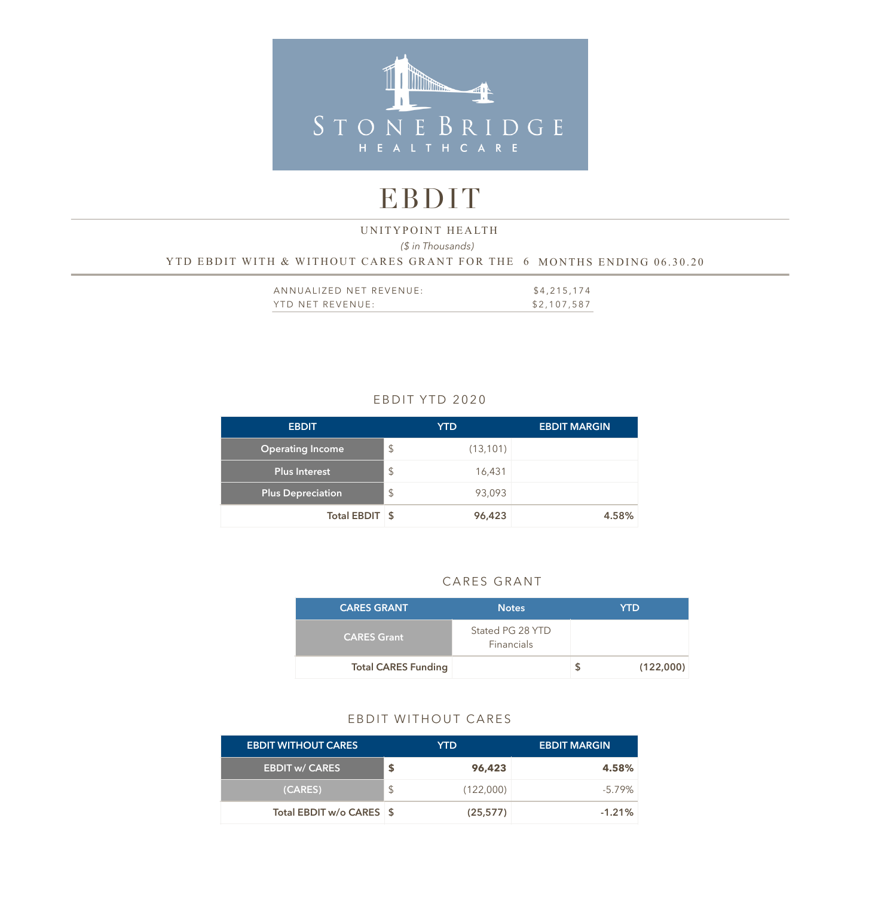

# EBDIT

# *(\$ in Thousands)*  YTD EBDIT WITH & WITHOUT CARES GRANT FOR THE 6 MONTHS ENDING 06.30.20 UNITYPOINT HEALTH

| ANNUALIZED NET REVENUE: | \$4,215,174 |
|-------------------------|-------------|
| YTD NET REVENUE:        | \$2,107,587 |

# EBDIT YTD 2020

| <b>EBDIT</b>             | <b>YTD</b>                          | <b>EBDIT MARGIN</b> |
|--------------------------|-------------------------------------|---------------------|
| <b>Operating Income</b>  | $\sqrt{2}$<br>(13, 101)             |                     |
| <b>Plus Interest</b>     | $\boldsymbol{\mathsf{S}}$<br>16,431 |                     |
| <b>Plus Depreciation</b> | $\sqrt[6]{\frac{1}{2}}$<br>93,093   |                     |
| Total EBDIT \$           | 96,423                              | 4.58%               |

#### CARES GRANT

| <b>CARES GRANT</b>         | <b>Notes</b>                   | YTD       |
|----------------------------|--------------------------------|-----------|
| <b>CARES Grant</b>         | Stated PG 28 YTD<br>Financials |           |
| <b>Total CARES Funding</b> |                                | (122,000) |

### EBDIT WITHOUT CARES

| <b>EBDIT WITHOUT CARES</b> | YTD.      | <b>EBDIT MARGIN</b> |
|----------------------------|-----------|---------------------|
| <b>EBDIT w/ CARES</b>      | 96,423    | 4.58%               |
| (CARES)                    | (122,000) | $-5.79\%$           |
| Total EBDIT w/o CARES \$   | (25, 577) | $-1.21%$            |